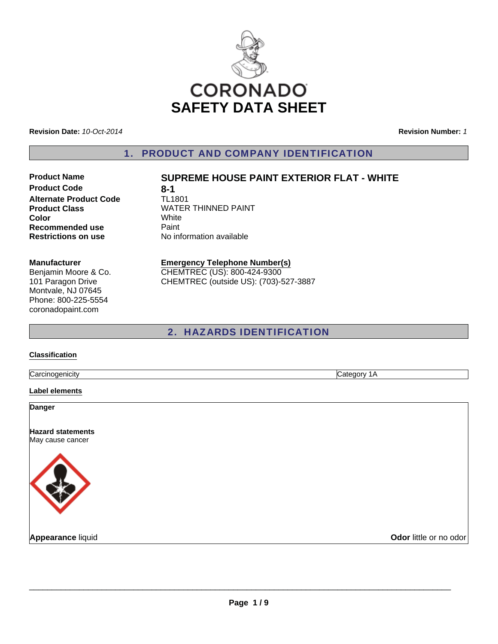

**Revision Date:** *10-Oct-2014*

**Revision Number:** *1*

1. PRODUCT AND COMPANY IDENTIFICATION

# **Product Code 8-1 Alternate Product Code** TL1801 **Color** White **Recommended use Paint Restrictions on use** No information available

# **Product Name SUPREME HOUSE PAINT EXTERIOR FLAT - WHITE**

**Product Class WATER THINNED PAINT** 

#### **Manufacturer**

Benjamin Moore & Co. 101 Paragon Drive Montvale, NJ 07645 Phone: 800-225-5554 coronadopaint.com

#### **Emergency Telephone Number(s)** CHEMTREC (US): 800-424-9300

CHEMTREC (outside US): (703)-527-3887

# 2. HAZARDS IDENTIFICATION

#### **Classification**

Carcinogenicity Category 1A

**Label elements**

**Danger**

**Hazard statements** May cause cancer



**Appearance** liquid **COVID-100 COVID-100 COVID-100 COVID-100 COVID-100 COVID-100 COVID-100 COVID-100 COVID-100 COVID-100 COVID-100 COVID-100 COVID-100 COVID-100 COVID-100 COVID-100 COVID-100 COVID-100 COVID-100 COVID-100 C**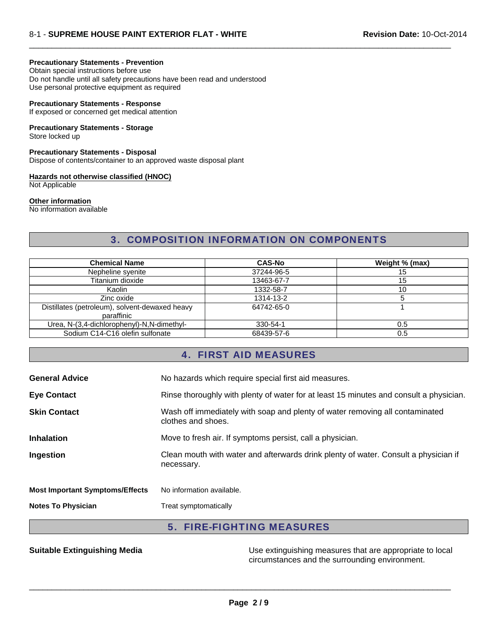#### **Precautionary Statements - Prevention**

Obtain special instructions before use

Do not handle until all safety precautions have been read and understood Use personal protective equipment as required

#### **Precautionary Statements - Response**

If exposed or concerned get medical attention

#### **Precautionary Statements - Storage**

Store locked up

**Precautionary Statements - Disposal**

Dispose of contents/container to an approved waste disposal plant

# **Hazards not otherwise classified (HNOC)**

Not Applicable

#### **Other information**

No information available

# 3. COMPOSITION INFORMATION ON COMPONENTS

 $\Box$ 

| <b>Chemical Name</b>                                         | <b>CAS-No</b> | Weight % (max) |
|--------------------------------------------------------------|---------------|----------------|
| Nepheline syenite                                            | 37244-96-5    | 15             |
| Titanium dioxide                                             | 13463-67-7    | 15             |
| Kaolin                                                       | 1332-58-7     | 10             |
| Zinc oxide                                                   | 1314-13-2     |                |
| Distillates (petroleum), solvent-dewaxed heavy<br>paraffinic | 64742-65-0    |                |
| Urea, N-(3,4-dichlorophenyl)-N,N-dimethyl-                   | 330-54-1      | 0.5            |
| Sodium C14-C16 olefin sulfonate                              | 68439-57-6    | 0.5            |

## 4. FIRST AID MEASURES

| <b>General Advice</b>                  | No hazards which require special first aid measures.                                               |
|----------------------------------------|----------------------------------------------------------------------------------------------------|
| <b>Eye Contact</b>                     | Rinse thoroughly with plenty of water for at least 15 minutes and consult a physician.             |
| <b>Skin Contact</b>                    | Wash off immediately with soap and plenty of water removing all contaminated<br>clothes and shoes. |
| <b>Inhalation</b>                      | Move to fresh air. If symptoms persist, call a physician.                                          |
| Ingestion                              | Clean mouth with water and afterwards drink plenty of water. Consult a physician if<br>necessary.  |
| <b>Most Important Symptoms/Effects</b> | No information available.                                                                          |
| <b>Notes To Physician</b>              | Treat symptomatically                                                                              |

## 5. FIRE-FIGHTING MEASURES

**Suitable Extinguishing Media** Use extinguishing measures that are appropriate to local circumstances and the surrounding environment.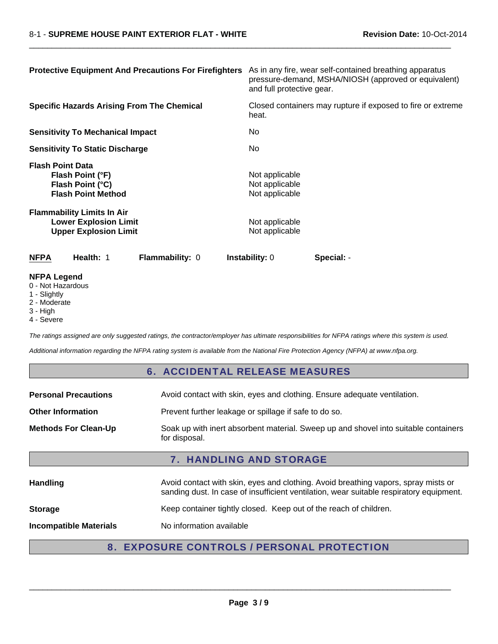| <b>Protective Equipment And Precautions For Firefighters</b>                                      | As in any fire, wear self-contained breathing apparatus<br>pressure-demand, MSHA/NIOSH (approved or equivalent)<br>and full protective gear. |
|---------------------------------------------------------------------------------------------------|----------------------------------------------------------------------------------------------------------------------------------------------|
| <b>Specific Hazards Arising From The Chemical</b>                                                 | Closed containers may rupture if exposed to fire or extreme<br>heat.                                                                         |
| <b>Sensitivity To Mechanical Impact</b>                                                           | No.                                                                                                                                          |
| <b>Sensitivity To Static Discharge</b>                                                            | No.                                                                                                                                          |
| <b>Flash Point Data</b><br>Flash Point (°F)<br>Flash Point (°C)<br><b>Flash Point Method</b>      | Not applicable<br>Not applicable<br>Not applicable                                                                                           |
| <b>Flammability Limits In Air</b><br><b>Lower Explosion Limit</b><br><b>Upper Explosion Limit</b> | Not applicable<br>Not applicable                                                                                                             |
| <b>NFPA</b><br>Health: 1<br><b>Flammability: 0</b>                                                | <b>Instability:</b> 0<br>Special: -                                                                                                          |

 $\Box$ 

### **NFPA Legend**

- 0 Not Hazardous
- 1 Slightly
- 2 Moderate
- 3 High
- 4 Severe

*The ratings assigned are only suggested ratings, the contractor/employer has ultimate responsibilities for NFPA ratings where this system is used.*

*Additional information regarding the NFPA rating system is available from the National Fire Protection Agency (NFPA) at www.nfpa.org.*

### 6. ACCIDENTAL RELEASE MEASURES

| <b>Personal Precautions</b>                                                                                                         | Avoid contact with skin, eyes and clothing. Ensure adequate ventilation.                                                                                                      |  |
|-------------------------------------------------------------------------------------------------------------------------------------|-------------------------------------------------------------------------------------------------------------------------------------------------------------------------------|--|
| Prevent further leakage or spillage if safe to do so.<br><b>Other Information</b>                                                   |                                                                                                                                                                               |  |
| Soak up with inert absorbent material. Sweep up and shovel into suitable containers<br><b>Methods For Clean-Up</b><br>for disposal. |                                                                                                                                                                               |  |
| <b>7. HANDLING AND STORAGE</b>                                                                                                      |                                                                                                                                                                               |  |
| <b>Handling</b>                                                                                                                     | Avoid contact with skin, eyes and clothing. Avoid breathing vapors, spray mists or<br>sanding dust. In case of insufficient ventilation, wear suitable respiratory equipment. |  |
| <b>Storage</b>                                                                                                                      | Keep container tightly closed. Keep out of the reach of children.                                                                                                             |  |
| <b>Incompatible Materials</b>                                                                                                       | No information available                                                                                                                                                      |  |

# 8. EXPOSURE CONTROLS / PERSONAL PROTECTION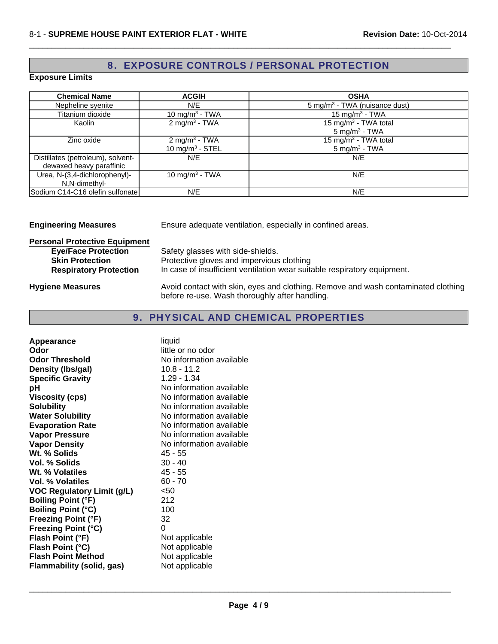# 8. EXPOSURE CONTROLS / PERSONAL PROTECTION

 $\Box$ 

### **Exposure Limits**

| <b>Chemical Name</b>                                          | <b>ACGIH</b>                                   | <b>OSHA</b>                                                     |
|---------------------------------------------------------------|------------------------------------------------|-----------------------------------------------------------------|
| Nepheline syenite                                             | N/E                                            | 5 mg/m <sup>3</sup> - TWA (nuisance dust)                       |
| Titanium dioxide                                              | 10 mg/m <sup>3</sup> - TWA                     | 15 mg/m <sup>3</sup> - TWA                                      |
| Kaolin                                                        | 2 mg/m <sup>3</sup> - TWA                      | 15 mg/m <sup>3</sup> - TWA total<br>$5$ mg/m <sup>3</sup> - TWA |
| Zinc oxide                                                    | $2 \text{ mg/m}^3$ - TWA<br>10 mg/m $3 -$ STEL | 15 mg/m <sup>3</sup> - TWA total<br>$5 \text{ mg/m}^3$ - TWA    |
| Distillates (petroleum), solvent-<br>dewaxed heavy paraffinic | N/E                                            | N/E                                                             |
| Urea, N-(3,4-dichlorophenyl)-<br>N,N-dimethyl-                | 10 mg/m <sup>3</sup> - TWA                     | N/E                                                             |
| Sodium C14-C16 olefin sulfonate                               | N/E                                            | N/E                                                             |

| <b>Engineering Measures</b>                                                                                                   | Ensure adequate ventilation, especially in confined areas.                                                                                                 |  |
|-------------------------------------------------------------------------------------------------------------------------------|------------------------------------------------------------------------------------------------------------------------------------------------------------|--|
| <b>Personal Protective Equipment</b><br><b>Eye/Face Protection</b><br><b>Skin Protection</b><br><b>Respiratory Protection</b> | Safety glasses with side-shields.<br>Protective gloves and impervious clothing<br>In case of insufficient ventilation wear suitable respiratory equipment. |  |
| <b>Hygiene Measures</b>                                                                                                       | Avoid contact with skin, eyes and clothing. Remove and wash contaminated clothing<br>before re-use. Wash thoroughly after handling.                        |  |

# 9. PHYSICAL AND CHEMICAL PROPERTIES

| <b>Appearance</b><br>Odor<br><b>Odor Threshold</b><br>Density (Ibs/gal)<br><b>Specific Gravity</b><br>рH | liquid<br>little or no odor<br>No information available<br>$10.8 - 11.2$<br>$1.29 - 1.34$<br>No information available |
|----------------------------------------------------------------------------------------------------------|-----------------------------------------------------------------------------------------------------------------------|
| <b>Viscosity (cps)</b>                                                                                   | No information available                                                                                              |
| <b>Solubility</b>                                                                                        | No information available                                                                                              |
| <b>Water Solubility</b>                                                                                  | No information available                                                                                              |
| <b>Evaporation Rate</b>                                                                                  | No information available                                                                                              |
| <b>Vapor Pressure</b>                                                                                    | No information available                                                                                              |
| <b>Vapor Density</b>                                                                                     | No information available                                                                                              |
| Wt. % Solids                                                                                             | 45 - 55                                                                                                               |
| Vol. % Solids                                                                                            | $30 - 40$                                                                                                             |
| Wt. % Volatiles                                                                                          | 45 - 55<br>$60 - 70$                                                                                                  |
| <b>Vol. % Volatiles</b>                                                                                  | $50$                                                                                                                  |
| <b>VOC Regulatory Limit (g/L)</b>                                                                        | 212                                                                                                                   |
| <b>Boiling Point (°F)</b><br><b>Boiling Point (°C)</b>                                                   | 100                                                                                                                   |
| <b>Freezing Point (°F)</b>                                                                               | 32                                                                                                                    |
| Freezing Point (°C)                                                                                      | 0                                                                                                                     |
| Flash Point (°F)                                                                                         | Not applicable                                                                                                        |
| Flash Point (°C)                                                                                         | Not applicable                                                                                                        |
| <b>Flash Point Method</b>                                                                                | Not applicable                                                                                                        |
|                                                                                                          | Not applicable                                                                                                        |
| Flammability (solid, gas)                                                                                |                                                                                                                       |

\_\_\_\_\_\_\_\_\_\_\_\_\_\_\_\_\_\_\_\_\_\_\_\_\_\_\_\_\_\_\_\_\_\_\_\_\_\_\_\_\_\_\_\_\_\_\_\_\_\_\_\_\_\_\_\_\_\_\_\_\_\_\_\_\_\_\_\_\_\_\_\_\_\_\_\_\_\_\_\_\_\_\_\_\_\_\_\_\_\_\_\_\_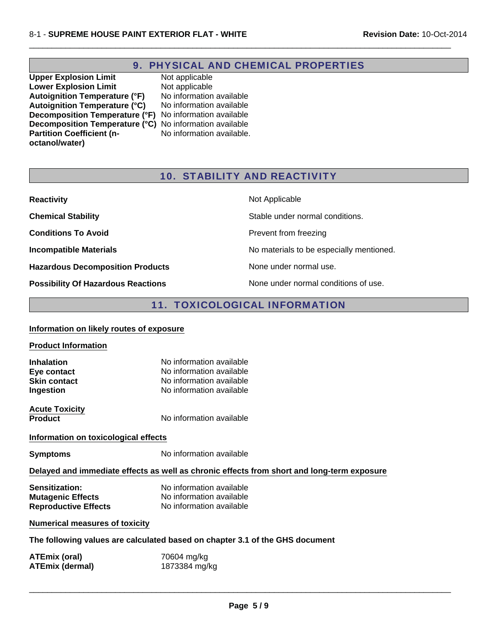# 9. PHYSICAL AND CHEMICAL PROPERTIES

 $\Box$ 

**Upper Explosion Limit** Not applicable<br> **Lower Explosion Limit** Not applicable **Lower Explosion Limit** Not applicable<br> **Autoignition Temperature (°F)** No information available **Autoignition Temperature (°F)** No information available<br>**Autoignition Temperature (°C)** No information available Autoignition Temperature (°C) **Decomposition Temperature (°F)** No information available **Decomposition Temperature (°C)** No information available **Partition Coefficient (noctanol/water)**

No information available.

# 10. STABILITY AND REACTIVITY

| <b>Reactivity</b>                         | Not Applicable                           |
|-------------------------------------------|------------------------------------------|
| <b>Chemical Stability</b>                 | Stable under normal conditions.          |
| <b>Conditions To Avoid</b>                | Prevent from freezing                    |
| <b>Incompatible Materials</b>             | No materials to be especially mentioned. |
| <b>Hazardous Decomposition Products</b>   | None under normal use.                   |
| <b>Possibility Of Hazardous Reactions</b> | None under normal conditions of use.     |

# 11. TOXICOLOGICAL INFORMATION

| Information on likely routes of exposure                                                   |                                                                                                              |  |
|--------------------------------------------------------------------------------------------|--------------------------------------------------------------------------------------------------------------|--|
| <b>Product Information</b>                                                                 |                                                                                                              |  |
| <b>Inhalation</b><br>Eye contact<br><b>Skin contact</b><br>Ingestion                       | No information available<br>No information available<br>No information available<br>No information available |  |
| <b>Acute Toxicity</b><br><b>Product</b>                                                    | No information available                                                                                     |  |
| Information on toxicological effects                                                       |                                                                                                              |  |
| <b>Symptoms</b>                                                                            | No information available                                                                                     |  |
| Delayed and immediate effects as well as chronic effects from short and long-term exposure |                                                                                                              |  |
| Sensitization:<br><b>Mutagenic Effects</b><br><b>Reproductive Effects</b>                  | No information available<br>No information available<br>No information available                             |  |
| <b>Numerical measures of toxicity</b>                                                      |                                                                                                              |  |
| The following values are calculated based on chapter 3.1 of the GHS document               |                                                                                                              |  |
| <b>ATEmix (oral)</b><br><b>ATEmix (dermal)</b>                                             | 70604 mg/kg<br>1873384 mg/kg                                                                                 |  |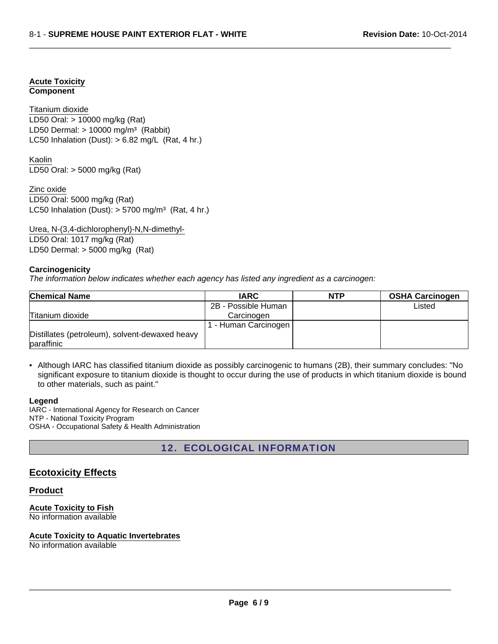#### **Acute Toxicity Component**

LD50 Oral: > 10000 mg/kg (Rat) LD50 Dermal:  $> 10000$  mg/m<sup>3</sup> (Rabbit) Titanium dioxide LC50 Inhalation (Dust):  $> 6.82$  mg/L (Rat, 4 hr.)

LD50 Oral: > 5000 mg/kg (Rat) Kaolin

Zinc oxide LD50 Oral: 5000 mg/kg (Rat) LC50 Inhalation (Dust):  $> 5700$  mg/m<sup>3</sup> (Rat, 4 hr.)

Urea, N-(3,4-dichlorophenyl)-N,N-dimethyl-LD50 Oral: 1017 mg/kg (Rat) LD50 Dermal: > 5000 mg/kg (Rat)

### **Carcinogenicity**

*The information below indicates whether each agency has listed any ingredient as a carcinogen:*

| <b>Chemical Name</b>                                         | <b>IARC</b>         | <b>NTP</b> | <b>OSHA Carcinogen</b> |
|--------------------------------------------------------------|---------------------|------------|------------------------|
|                                                              | 2B - Possible Human |            | Listed                 |
| Titanium dioxide                                             | Carcinogen          |            |                        |
|                                                              | - Human Carcinogen  |            |                        |
| Distillates (petroleum), solvent-dewaxed heavy<br>paraffinic |                     |            |                        |

 $\Box$ 

• Although IARC has classified titanium dioxide as possibly carcinogenic to humans (2B), their summary concludes: "No significant exposure to titanium dioxide is thought to occur during the use of products in which titanium dioxide is bound to other materials, such as paint."

#### **Legend**

IARC - International Agency for Research on Cancer NTP - National Toxicity Program OSHA - Occupational Safety & Health Administration

12. ECOLOGICAL INFORMATION

## **Ecotoxicity Effects**

#### **Product**

**Acute Toxicity to Fish** No information available

#### **Acute Toxicity to Aquatic Invertebrates**

No information available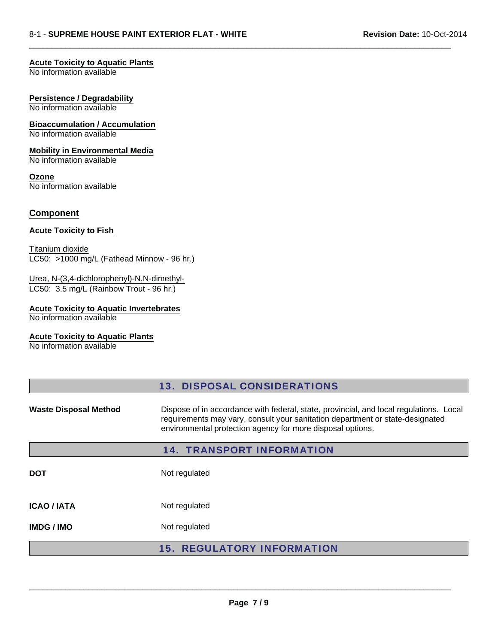#### **Acute Toxicity to Aquatic Plants**

No information available

#### **Persistence / Degradability**

No information available

#### **Bioaccumulation / Accumulation**

No information available

#### **Mobility in Environmental Media**

No information available

# **Ozone**

No information available

### **Component**

#### **Acute Toxicity to Fish**

LC50: >1000 mg/L (Fathead Minnow - 96 hr.) Titanium dioxide

#### Urea, N-(3,4-dichlorophenyl)-N,N-dimethyl-LC50: 3.5 mg/L (Rainbow Trout - 96 hr.)

### **Acute Toxicity to Aquatic Invertebrates**

No information available

### **Acute Toxicity to Aquatic Plants**

No information available

|                              | <b>13. DISPOSAL CONSIDERATIONS</b>                                                                                                                                                                                                    |
|------------------------------|---------------------------------------------------------------------------------------------------------------------------------------------------------------------------------------------------------------------------------------|
| <b>Waste Disposal Method</b> | Dispose of in accordance with federal, state, provincial, and local regulations. Local<br>requirements may vary, consult your sanitation department or state-designated<br>environmental protection agency for more disposal options. |
|                              | <b>14. TRANSPORT INFORMATION</b>                                                                                                                                                                                                      |
| <b>DOT</b>                   | Not regulated                                                                                                                                                                                                                         |
| <b>ICAO / IATA</b>           | Not regulated                                                                                                                                                                                                                         |
| <b>IMDG/IMO</b>              | Not regulated                                                                                                                                                                                                                         |
|                              | <b>15. REGULATORY INFORMATION</b>                                                                                                                                                                                                     |

 $\Box$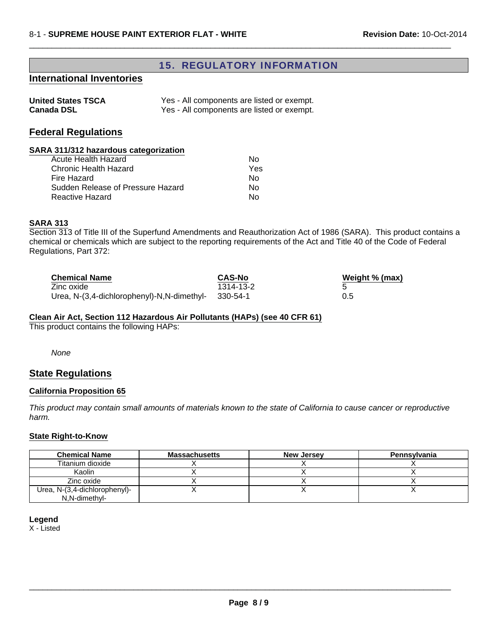## 15. REGULATORY INFORMATION

 $\Box$ 

## **International Inventories**

| <b>United States TSCA</b> | Yes - All components are listed or exempt. |
|---------------------------|--------------------------------------------|
| <b>Canada DSL</b>         | Yes - All components are listed or exempt. |

## **Federal Regulations**

### **SARA 311/312 hazardous categorization**

| Acute Health Hazard               | N٥  |
|-----------------------------------|-----|
| Chronic Health Hazard             | Yes |
| Fire Hazard                       | N٥  |
| Sudden Release of Pressure Hazard | Nο  |
| <b>Reactive Hazard</b>            | N٥  |

#### **SARA 313**

Section 313 of Title III of the Superfund Amendments and Reauthorization Act of 1986 (SARA). This product contains a chemical or chemicals which are subject to the reporting requirements of the Act and Title 40 of the Code of Federal Regulations, Part 372:

| <b>Chemical Name</b>                       | <b>CAS-No</b> | Weight % (max) |
|--------------------------------------------|---------------|----------------|
| Zinc oxide                                 | 1314-13-2     |                |
| Urea, N-(3,4-dichlorophenyl)-N,N-dimethyl- | - 330-54-1    | 0.5            |

#### **Clean Air Act, Section 112 Hazardous Air Pollutants (HAPs) (see 40 CFR 61)**

This product contains the following HAPs:

*None*

### **State Regulations**

#### **California Proposition 65**

*This product may contain small amounts of materials known to the state of California to cause cancer or reproductive harm.*

#### **State Right-to-Know**

| <b>Chemical Name</b>          | Massachusetts | <b>New Jersey</b> | Pennsylvania |
|-------------------------------|---------------|-------------------|--------------|
| Titanium dioxide              |               |                   |              |
| Kaolin                        |               |                   |              |
| Zinc oxide                    |               |                   |              |
| Urea, N-(3,4-dichlorophenyl)- |               |                   |              |
| N.N-dimethyl-                 |               |                   |              |

**Legend**

X - Listed